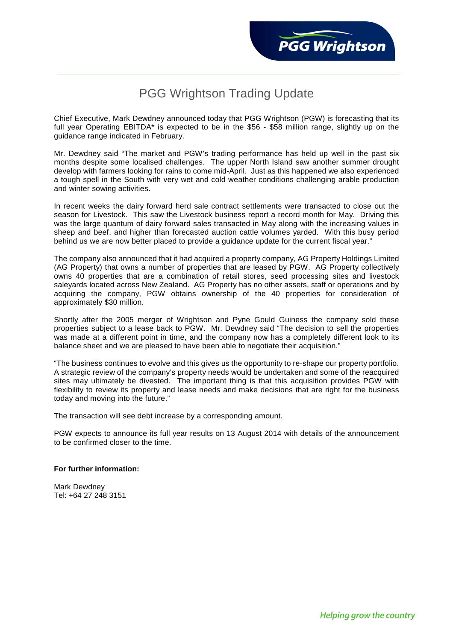## PGG Wrightson Trading Update

Chief Executive, Mark Dewdney announced today that PGG Wrightson (PGW) is forecasting that its full year Operating EBITDA\* is expected to be in the \$56 - \$58 million range, slightly up on the guidance range indicated in February.

Mr. Dewdney said "The market and PGW's trading performance has held up well in the past six months despite some localised challenges. The upper North Island saw another summer drought develop with farmers looking for rains to come mid-April. Just as this happened we also experienced a tough spell in the South with very wet and cold weather conditions challenging arable production and winter sowing activities.

In recent weeks the dairy forward herd sale contract settlements were transacted to close out the season for Livestock. This saw the Livestock business report a record month for May. Driving this was the large quantum of dairy forward sales transacted in May along with the increasing values in sheep and beef, and higher than forecasted auction cattle volumes yarded. With this busy period behind us we are now better placed to provide a guidance update for the current fiscal year."

The company also announced that it had acquired a property company, AG Property Holdings Limited (AG Property) that owns a number of properties that are leased by PGW. AG Property collectively owns 40 properties that are a combination of retail stores, seed processing sites and livestock saleyards located across New Zealand. AG Property has no other assets, staff or operations and by acquiring the company, PGW obtains ownership of the 40 properties for consideration of approximately \$30 million.

Shortly after the 2005 merger of Wrightson and Pyne Gould Guiness the company sold these properties subject to a lease back to PGW. Mr. Dewdney said "The decision to sell the properties was made at a different point in time, and the company now has a completely different look to its balance sheet and we are pleased to have been able to negotiate their acquisition."

"The business continues to evolve and this gives us the opportunity to re-shape our property portfolio. A strategic review of the company's property needs would be undertaken and some of the reacquired sites may ultimately be divested. The important thing is that this acquisition provides PGW with flexibility to review its property and lease needs and make decisions that are right for the business today and moving into the future."

The transaction will see debt increase by a corresponding amount.

PGW expects to announce its full year results on 13 August 2014 with details of the announcement to be confirmed closer to the time.

## **For further information:**

Mark Dewdney Tel: +64 27 248 3151